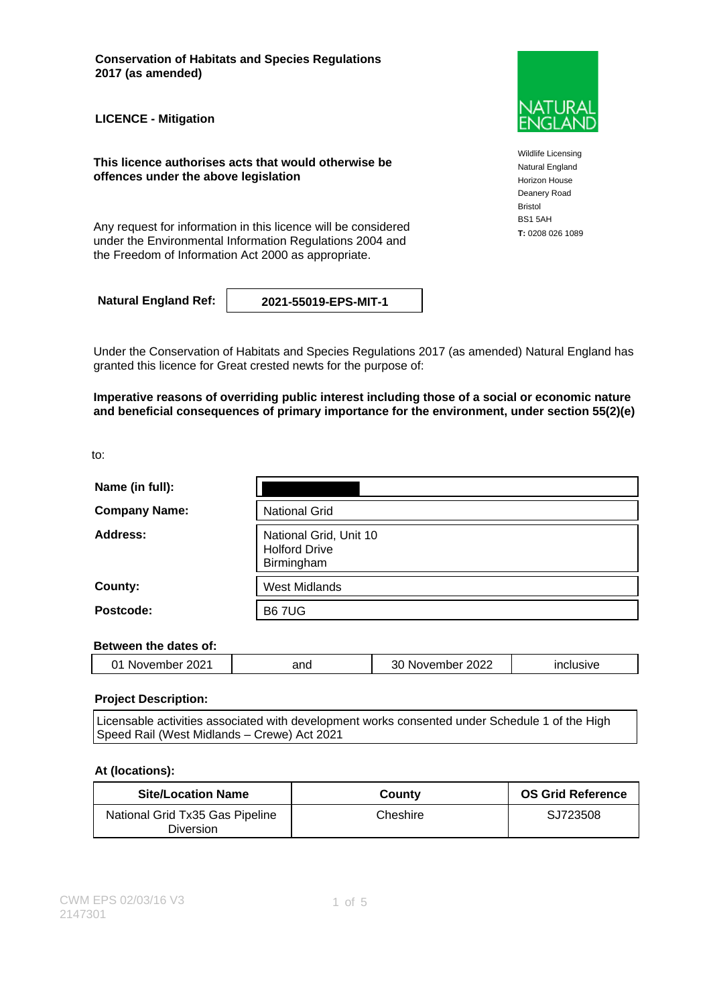**Conservation of Habitats and Species Regulations 2017 (as amended)**

**LICENCE - Mitigation**

**This licence authorises acts that would otherwise be offences under the above legislation**

Any request for information in this licence will be considered **T**: 0208 026 1089 under the Environmental Information Regulations 2004 and the Freedom of Information Act 2000 as appropriate.

**Natural England Ref: 2021-55019-EPS-MIT-1**

Under the Conservation of Habitats and Species Regulations 2017 (as amended) Natural England has granted this licence for Great crested newts for the purpose of:

**Imperative reasons of overriding public interest including those of a social or economic nature and beneficial consequences of primary importance for the environment, under section 55(2)(e)**

to:

| Name (in full):      |                                                              |
|----------------------|--------------------------------------------------------------|
| <b>Company Name:</b> | <b>National Grid</b>                                         |
| Address:             | National Grid, Unit 10<br><b>Holford Drive</b><br>Birmingham |
| County:              | <b>West Midlands</b>                                         |
| Postcode:            | <b>B67UG</b>                                                 |

#### **Between the dates of:**

| $\sim$<br><br>'NИ<br>יי י<br>. | ገበር<br>$\sim$ $\sim$ | nnnr<br>711 I I I<br>. .<br>______ | - -- - -<br>- - - - |
|--------------------------------|----------------------|------------------------------------|---------------------|
|                                |                      |                                    |                     |

#### **Project Description:**

Licensable activities associated with development works consented under Schedule 1 of the High Speed Rail (West Midlands – Crewe) Act 2021

#### **At (locations):**

| <b>Site/Location Name</b>                           | County   | <b>OS Grid Reference</b> |
|-----------------------------------------------------|----------|--------------------------|
| National Grid Tx35 Gas Pipeline<br><b>Diversion</b> | Cheshire | SJ723508                 |



Wildlife Licensing Natural England Horizon House Deanery Road Bristol BS1 5AH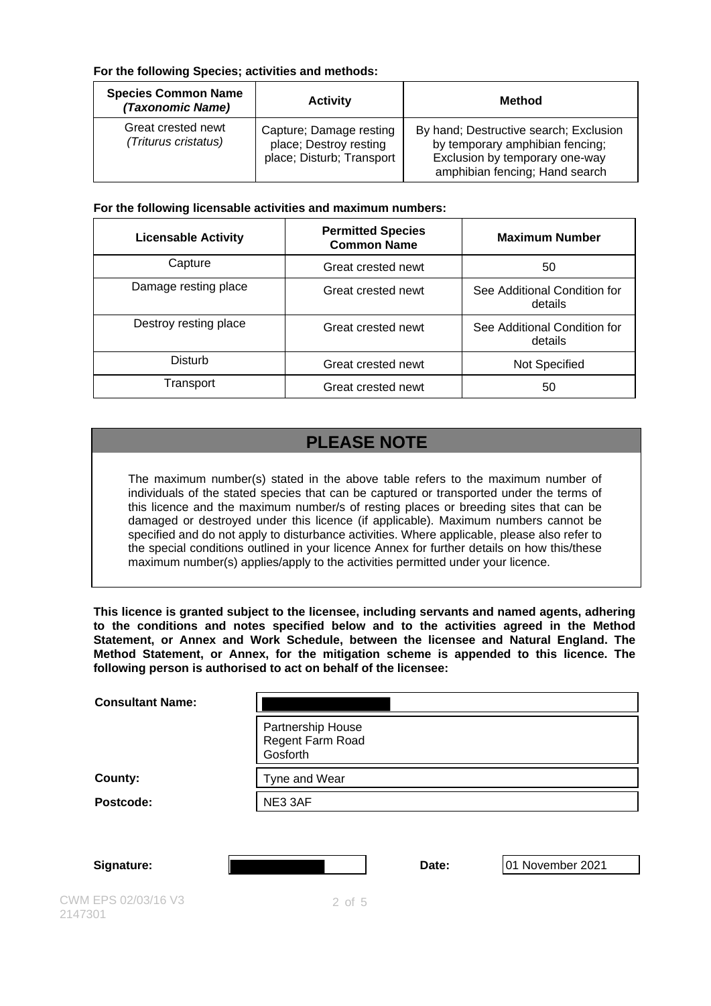### **For the following Species; activities and methods:**

| <b>Species Common Name</b><br>(Taxonomic Name) | <b>Activity</b>                                                                | Method                                                                                                                                        |
|------------------------------------------------|--------------------------------------------------------------------------------|-----------------------------------------------------------------------------------------------------------------------------------------------|
| Great crested newt<br>(Triturus cristatus)     | Capture; Damage resting<br>place; Destroy resting<br>place; Disturb; Transport | By hand; Destructive search; Exclusion<br>by temporary amphibian fencing;<br>Exclusion by temporary one-way<br>amphibian fencing; Hand search |

### **For the following licensable activities and maximum numbers:**

| <b>Licensable Activity</b> | <b>Permitted Species</b><br><b>Common Name</b> | <b>Maximum Number</b>                   |
|----------------------------|------------------------------------------------|-----------------------------------------|
| Capture                    | Great crested newt                             | 50                                      |
| Damage resting place       | Great crested newt                             | See Additional Condition for<br>details |
| Destroy resting place      | Great crested newt                             | See Additional Condition for<br>details |
| Disturb                    | Great crested newt                             | Not Specified                           |
| Transport                  | Great crested newt                             | 50                                      |

# **PLEASE NOTE**

The maximum number(s) stated in the above table refers to the maximum number of individuals of the stated species that can be captured or transported under the terms of this licence and the maximum number/s of resting places or breeding sites that can be damaged or destroyed under this licence (if applicable). Maximum numbers cannot be specified and do not apply to disturbance activities. Where applicable, please also refer to the special conditions outlined in your licence Annex for further details on how this/these maximum number(s) applies/apply to the activities permitted under your licence.

**This licence is granted subject to the licensee, including servants and named agents, adhering to the conditions and notes specified below and to the activities agreed in the Method Statement, or Annex and Work Schedule, between the licensee and Natural England. The Method Statement, or Annex, for the mitigation scheme is appended to this licence. The following person is authorised to act on behalf of the licensee:**

| <b>Consultant Name:</b>        |                                                   |       |                  |
|--------------------------------|---------------------------------------------------|-------|------------------|
|                                | Partnership House<br>Regent Farm Road<br>Gosforth |       |                  |
| County:                        | Tyne and Wear                                     |       |                  |
| Postcode:                      | NE3 3AF                                           |       |                  |
|                                |                                                   |       |                  |
| Signature:                     |                                                   | Date: | 01 November 2021 |
| CWM EPS 02/03/16 V3<br>2147301 | $2$ of $5$                                        |       |                  |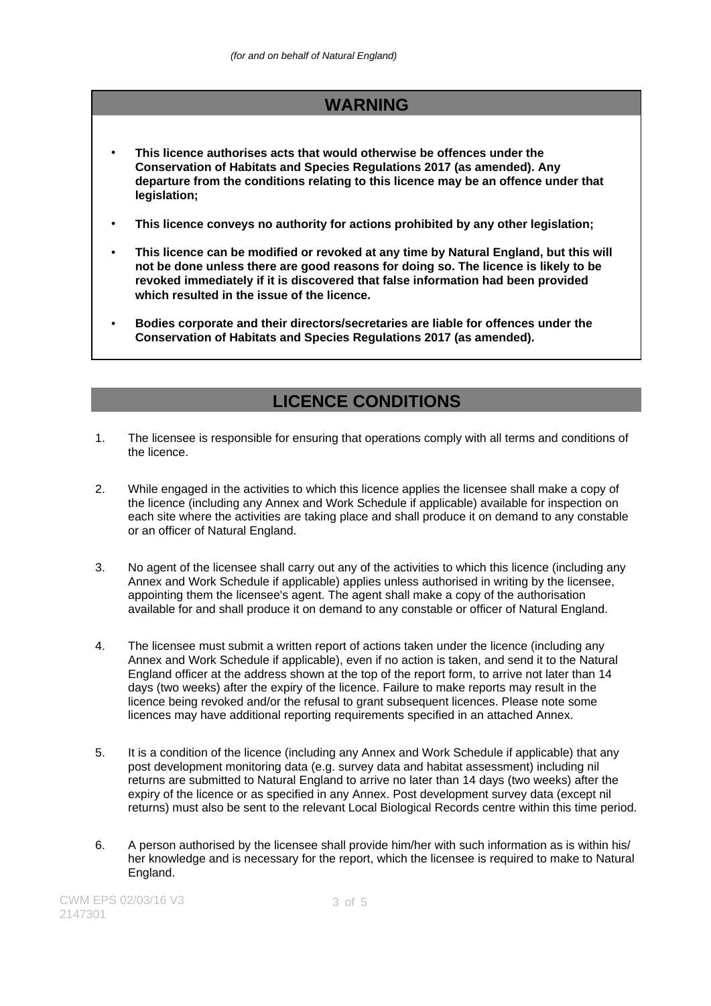# **WARNING**

- **This licence authorises acts that would otherwise be offences under the Conservation of Habitats and Species Regulations 2017 (as amended). Any departure from the conditions relating to this licence may be an offence under that legislation;**
- **This licence conveys no authority for actions prohibited by any other legislation;**
- **This licence can be modified or revoked at any time by Natural England, but this will not be done unless there are good reasons for doing so. The licence is likely to be revoked immediately if it is discovered that false information had been provided which resulted in the issue of the licence.**
- **Bodies corporate and their directors/secretaries are liable for offences under the Conservation of Habitats and Species Regulations 2017 (as amended).**

## **LICENCE CONDITIONS**

- 1. The licensee is responsible for ensuring that operations comply with all terms and conditions of the licence.
- 2. While engaged in the activities to which this licence applies the licensee shall make a copy of the licence (including any Annex and Work Schedule if applicable) available for inspection on each site where the activities are taking place and shall produce it on demand to any constable or an officer of Natural England.
- 3. No agent of the licensee shall carry out any of the activities to which this licence (including any Annex and Work Schedule if applicable) applies unless authorised in writing by the licensee, appointing them the licensee's agent. The agent shall make a copy of the authorisation available for and shall produce it on demand to any constable or officer of Natural England.
- 4. The licensee must submit a written report of actions taken under the licence (including any Annex and Work Schedule if applicable), even if no action is taken, and send it to the Natural England officer at the address shown at the top of the report form, to arrive not later than 14 days (two weeks) after the expiry of the licence. Failure to make reports may result in the licence being revoked and/or the refusal to grant subsequent licences. Please note some licences may have additional reporting requirements specified in an attached Annex.
- 5. It is a condition of the licence (including any Annex and Work Schedule if applicable) that any post development monitoring data (e.g. survey data and habitat assessment) including nil returns are submitted to Natural England to arrive no later than 14 days (two weeks) after the expiry of the licence or as specified in any Annex. Post development survey data (except nil returns) must also be sent to the relevant Local Biological Records centre within this time period.
- 6. A person authorised by the licensee shall provide him/her with such information as is within his/ her knowledge and is necessary for the report, which the licensee is required to make to Natural England.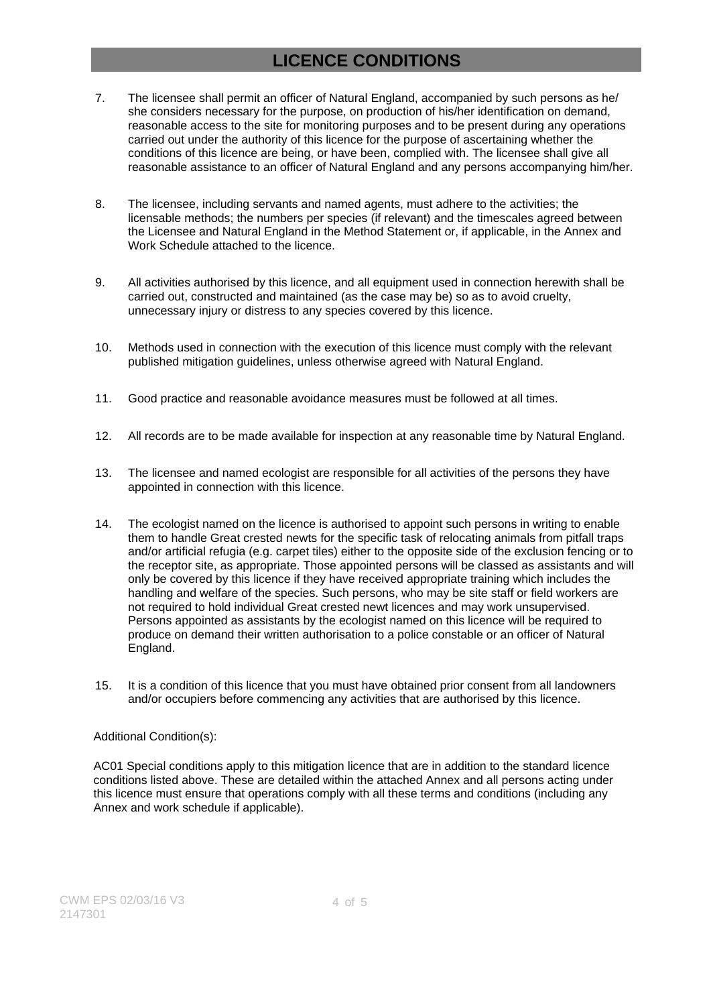# **LICENCE CONDITIONS**

- 7. The licensee shall permit an officer of Natural England, accompanied by such persons as he/ she considers necessary for the purpose, on production of his/her identification on demand, reasonable access to the site for monitoring purposes and to be present during any operations carried out under the authority of this licence for the purpose of ascertaining whether the conditions of this licence are being, or have been, complied with. The licensee shall give all reasonable assistance to an officer of Natural England and any persons accompanying him/her.
- 8. The licensee, including servants and named agents, must adhere to the activities; the licensable methods; the numbers per species (if relevant) and the timescales agreed between the Licensee and Natural England in the Method Statement or, if applicable, in the Annex and Work Schedule attached to the licence.
- 9. All activities authorised by this licence, and all equipment used in connection herewith shall be carried out, constructed and maintained (as the case may be) so as to avoid cruelty, unnecessary injury or distress to any species covered by this licence.
- 10. Methods used in connection with the execution of this licence must comply with the relevant published mitigation guidelines, unless otherwise agreed with Natural England.
- 11. Good practice and reasonable avoidance measures must be followed at all times.
- 12. All records are to be made available for inspection at any reasonable time by Natural England.
- 13. The licensee and named ecologist are responsible for all activities of the persons they have appointed in connection with this licence.
- 14. The ecologist named on the licence is authorised to appoint such persons in writing to enable them to handle Great crested newts for the specific task of relocating animals from pitfall traps and/or artificial refugia (e.g. carpet tiles) either to the opposite side of the exclusion fencing or to the receptor site, as appropriate. Those appointed persons will be classed as assistants and will only be covered by this licence if they have received appropriate training which includes the handling and welfare of the species. Such persons, who may be site staff or field workers are not required to hold individual Great crested newt licences and may work unsupervised. Persons appointed as assistants by the ecologist named on this licence will be required to produce on demand their written authorisation to a police constable or an officer of Natural England.
- 15. It is a condition of this licence that you must have obtained prior consent from all landowners and/or occupiers before commencing any activities that are authorised by this licence.

#### Additional Condition(s):

AC01 Special conditions apply to this mitigation licence that are in addition to the standard licence conditions listed above. These are detailed within the attached Annex and all persons acting under this licence must ensure that operations comply with all these terms and conditions (including any Annex and work schedule if applicable).